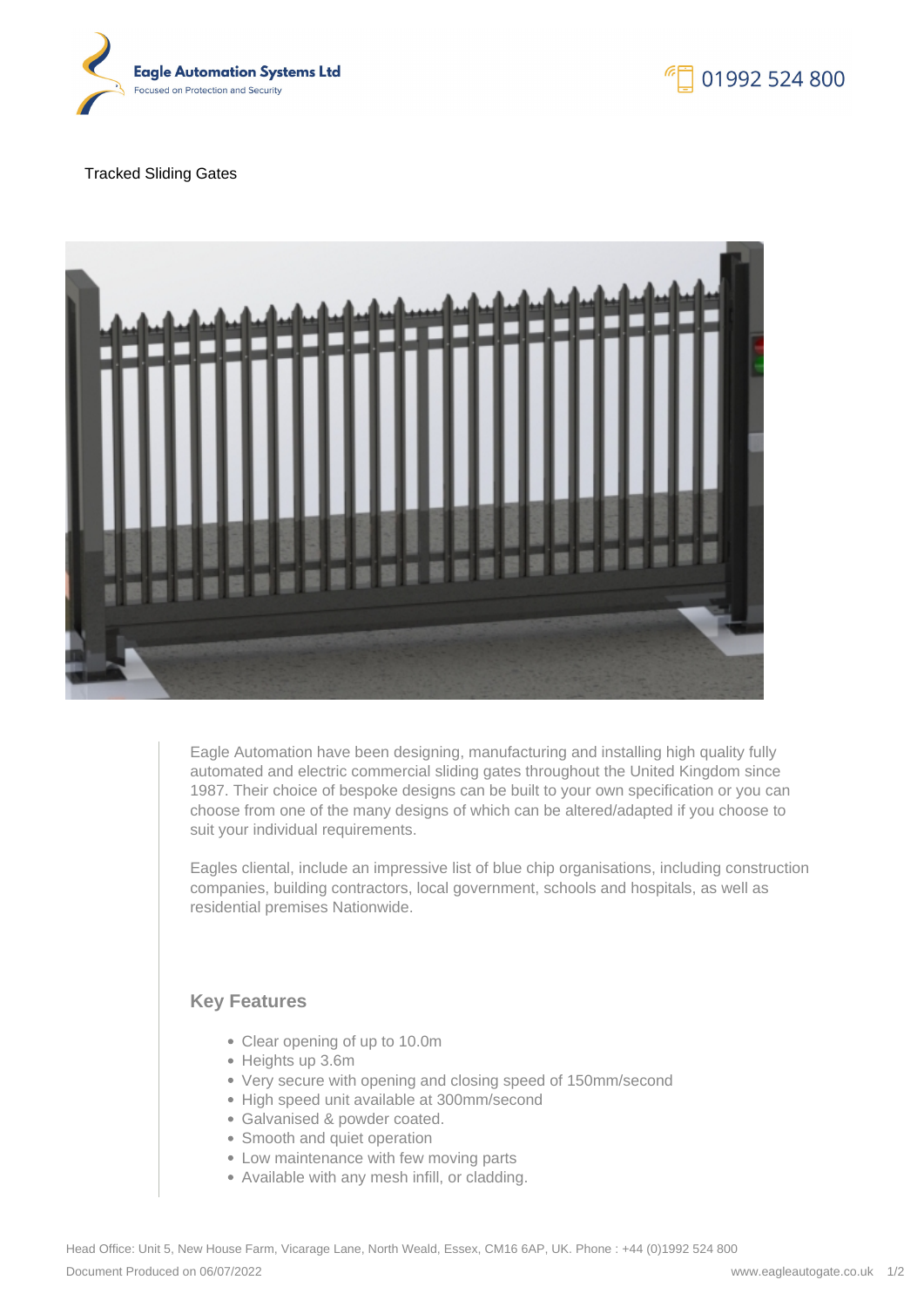

## Tracked Sliding Gates



Eagle Automation have been designing, manufacturing and installing high quality fully automated and electric commercial sliding gates throughout the United Kingdom since 1987. Their choice of bespoke designs can be built to your own specification or you can choose from one of the many designs of which can be altered/adapted if you choose to suit your individual requirements.

Eagles cliental, include an impressive list of blue chip organisations, including construction companies, building contractors, local government, schools and hospitals, as well as residential premises Nationwide.

## **Key Features**

- Clear opening of up to 10.0m
- Heights up 3.6m
- Very secure with opening and closing speed of 150mm/second
- High speed unit available at 300mm/second
- Galvanised & powder coated.
- Smooth and quiet operation
- Low maintenance with few moving parts
- Available with any mesh infill, or cladding.